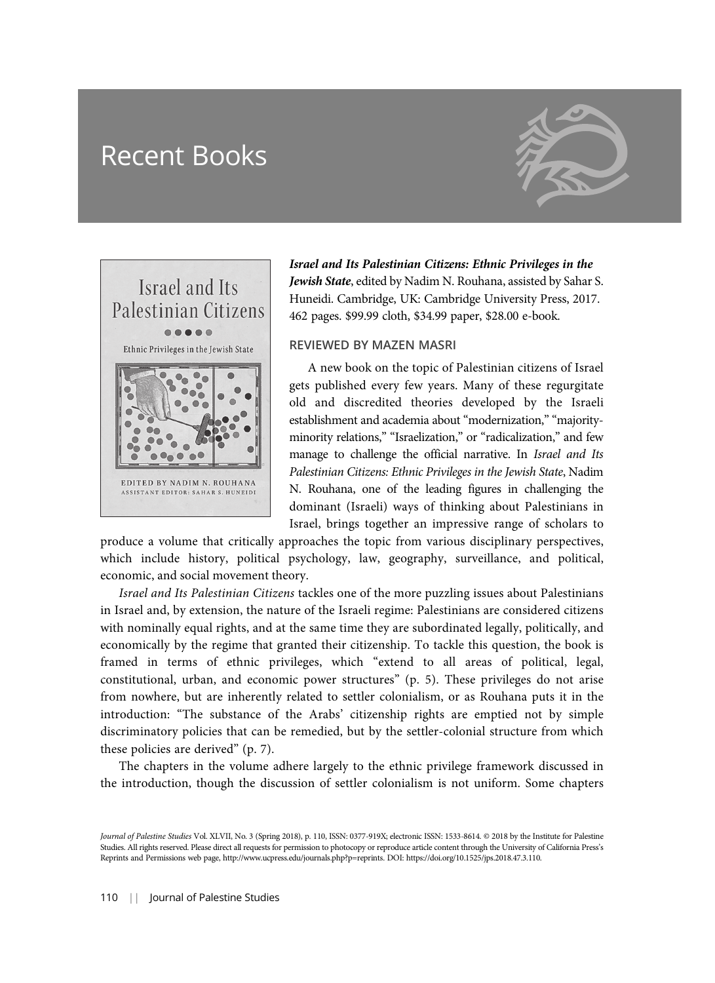## Recent Books





Israel and Its Palestinian Citizens: Ethnic Privileges in the Jewish State, edited by Nadim N. Rouhana, assisted by Sahar S. Huneidi. Cambridge, UK: Cambridge University Press, 2017. 462 pages. \$99.99 cloth, \$34.99 paper, \$28.00 e-book.

## REVIEWED BY MAZEN MASRI

A new book on the topic of Palestinian citizens of Israel gets published every few years. Many of these regurgitate old and discredited theories developed by the Israeli establishment and academia about "modernization," "majorityminority relations," "Israelization," or "radicalization," and few manage to challenge the official narrative. In Israel and Its Palestinian Citizens: Ethnic Privileges in the Jewish State, Nadim N. Rouhana, one of the leading figures in challenging the dominant (Israeli) ways of thinking about Palestinians in Israel, brings together an impressive range of scholars to

produce a volume that critically approaches the topic from various disciplinary perspectives, which include history, political psychology, law, geography, surveillance, and political, economic, and social movement theory.

Israel and Its Palestinian Citizens tackles one of the more puzzling issues about Palestinians in Israel and, by extension, the nature of the Israeli regime: Palestinians are considered citizens with nominally equal rights, and at the same time they are subordinated legally, politically, and economically by the regime that granted their citizenship. To tackle this question, the book is framed in terms of ethnic privileges, which "extend to all areas of political, legal, constitutional, urban, and economic power structures" (p. 5). These privileges do not arise from nowhere, but are inherently related to settler colonialism, or as Rouhana puts it in the introduction: "The substance of the Arabs' citizenship rights are emptied not by simple discriminatory policies that can be remedied, but by the settler-colonial structure from which these policies are derived" (p. 7).

The chapters in the volume adhere largely to the ethnic privilege framework discussed in the introduction, though the discussion of settler colonialism is not uniform. Some chapters

Journal of Palestine Studies Vol. XLVII, No. 3 (Spring 2018), p. 110, ISSN: 0377-919X; electronic ISSN: 1533-8614. © 2018 by the Institute for Palestine Studies. All rights reserved. Please direct all requests for permission to photocopy or reproduce article content through the University of California Press's Reprints and Permissions web page, http://www.ucpress.edu/journals.php?p=reprints. DOI: https://doi.org/10.1525/jps.2018.47.3.110.